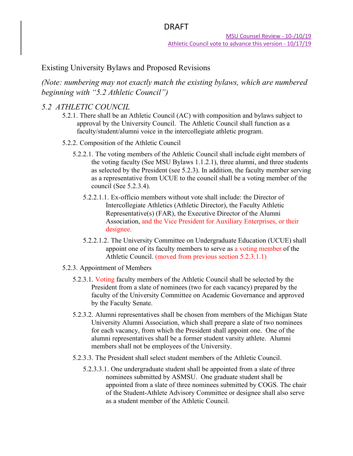## Existing University Bylaws and Proposed Revisions

*(Note: numbering may not exactly match the existing bylaws, which are numbered beginning with "5.2 Athletic Council")*

### *5.2 ATHLETIC COUNCIL*

- 5.2.1. There shall be an Athletic Council (AC) with composition and bylaws subject to approval by the University Council. The Athletic Council shall function as a faculty/student/alumni voice in the intercollegiate athletic program.
- 5.2.2. Composition of the Athletic Council
	- 5.2.2.1. The voting members of the Athletic Council shall include eight members of the voting faculty (See MSU Bylaws 1.1.2.1), three alumni, and three students as selected by the President (see 5.2.3). In addition, the faculty member serving as a representative from UCUE to the council shall be a voting member of the council (See 5.2.3.4).
		- 5.2.2.1.1. Ex-officio members without vote shall include: the Director of Intercollegiate Athletics (Athletic Director), the Faculty Athletic Representative(s) (FAR), the Executive Director of the Alumni Association, and the Vice President for Auxiliary Enterprises, or their designee.
		- 5.2.2.1.2. The University Committee on Undergraduate Education (UCUE) shall appoint one of its faculty members to serve as a voting member of the Athletic Council. (moved from previous section 5.2.3.1.1)
- 5.2.3. Appointment of Members
	- 5.2.3.1. Voting faculty members of the Athletic Council shall be selected by the President from a slate of nominees (two for each vacancy) prepared by the faculty of the University Committee on Academic Governance and approved by the Faculty Senate.
	- 5.2.3.2. Alumni representatives shall be chosen from members of the Michigan State University Alumni Association, which shall prepare a slate of two nominees for each vacancy, from which the President shall appoint one. One of the alumni representatives shall be a former student varsity athlete. Alumni members shall not be employees of the University.
	- 5.2.3.3. The President shall select student members of the Athletic Council.
		- 5.2.3.3.1. One undergraduate student shall be appointed from a slate of three nominees submitted by ASMSU. One graduate student shall be appointed from a slate of three nominees submitted by COGS. The chair of the Student-Athlete Advisory Committee or designee shall also serve as a student member of the Athletic Council.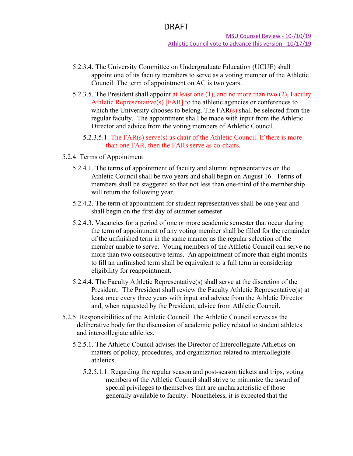- 5.2.3.4. The University Committee on Undergraduate Education (UCUE) shall appoint one of its faculty members to serve as a voting member of the Athletic Council. The term of appointment on AC is two years.
- 5.2.3.5. The President shall appoint at least one (1), and no more than two (2), Faculty Athletic Representative(s) [FAR] to the athletic agencies or conferences to which the University chooses to belong. The  $FAR(s)$  shall be selected from the regular faculty. The appointment shall be made with input from the Athletic Director and advice from the voting members of Athletic Council.
	- 5.2.3.5.1. The FAR(s) serve(s) as chair of the Athletic Council. If there is more than one FAR, then the FARs serve as co-chairs.
- 5.2.4. Terms of Appointment
	- 5.2.4.1. The terms of appointment of faculty and alumni representatives on the Athletic Council shall be two years and shall begin on August 16. Terms of members shall be staggered so that not less than one-third of the membership will return the following year.
	- 5.2.4.2. The term of appointment for student representatives shall be one year and shall begin on the first day of summer semester.
	- 5.2.4.3. Vacancies for a period of one or more academic semester that occur during the term of appointment of any voting member shall be filled for the remainder of the unfinished term in the same manner as the regular selection of the member unable to serve. Voting members of the Athletic Council can serve no more than two consecutive terms. An appointment of more than eight months to fill an unfinished term shall be equivalent to a full term in considering eligibility for reappointment.
	- 5.2.4.4. The Faculty Athletic Representative(s) shall serve at the discretion of the President. The President shall review the Faculty Athletic Representative(s) at least once every three years with input and advice from the Athletic Director and, when requested by the President, advice from Athletic Council.
- 5.2.5. Responsibilities of the Athletic Council. The Athletic Council serves as the deliberative body for the discussion of academic policy related to student athletes and intercollegiate athletics.
	- 5.2.5.1. The Athletic Council advises the Director of Intercollegiate Athletics on matters of policy, procedures, and organization related to intercollegiate athletics.
		- 5.2.5.1.1. Regarding the regular season and post-season tickets and trips, voting members of the Athletic Council shall strive to minimize the award of special privileges to themselves that are uncharacteristic of those generally available to faculty. Nonetheless, it is expected that the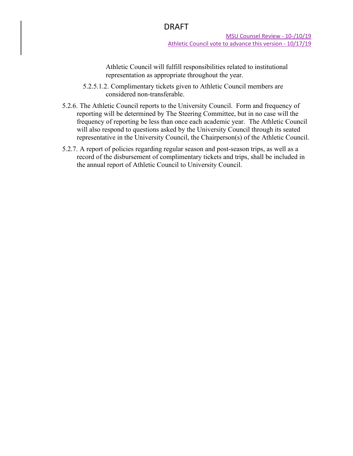Athletic Council will fulfill responsibilities related to institutional representation as appropriate throughout the year.

- 5.2.5.1.2. Complimentary tickets given to Athletic Council members are considered non-transferable.
- 5.2.6. The Athletic Council reports to the University Council. Form and frequency of reporting will be determined by The Steering Committee, but in no case will the frequency of reporting be less than once each academic year. The Athletic Council will also respond to questions asked by the University Council through its seated representative in the University Council, the Chairperson(s) of the Athletic Council.
- 5.2.7. A report of policies regarding regular season and post-season trips, as well as a record of the disbursement of complimentary tickets and trips, shall be included in the annual report of Athletic Council to University Council.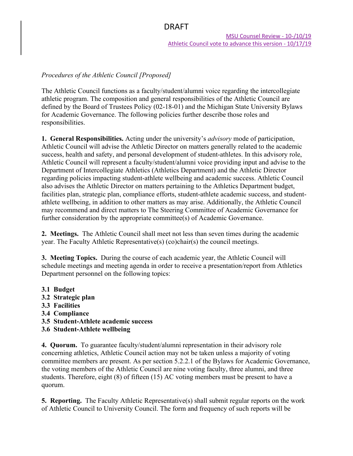MSU Counsel Review - 10-/10/19 Athletic Council vote to advance this version - 10/17/19

#### *Procedures of the Athletic Council [Proposed]*

The Athletic Council functions as a faculty/student/alumni voice regarding the intercollegiate athletic program. The composition and general responsibilities of the Athletic Council are defined by the Board of Trustees Policy (02-18-01) and the Michigan State University Bylaws for Academic Governance. The following policies further describe those roles and responsibilities.

**1. General Responsibilities.** Acting under the university's *advisory* mode of participation, Athletic Council will advise the Athletic Director on matters generally related to the academic success, health and safety, and personal development of student-athletes. In this advisory role, Athletic Council will represent a faculty/student/alumni voice providing input and advise to the Department of Intercollegiate Athletics (Athletics Department) and the Athletic Director regarding policies impacting student-athlete wellbeing and academic success. Athletic Council also advises the Athletic Director on matters pertaining to the Athletics Department budget, facilities plan, strategic plan, compliance efforts, student-athlete academic success, and studentathlete wellbeing, in addition to other matters as may arise. Additionally, the Athletic Council may recommend and direct matters to The Steering Committee of Academic Governance for further consideration by the appropriate committee(s) of Academic Governance.

**2. Meetings.** The Athletic Council shall meet not less than seven times during the academic year. The Faculty Athletic Representative(s) (co)chair(s) the council meetings.

**3. Meeting Topics.** During the course of each academic year, the Athletic Council will schedule meetings and meeting agenda in order to receive a presentation/report from Athletics Department personnel on the following topics:

- **3.1 Budget**
- **3.2 Strategic plan**
- **3.3 Facilities**
- **3.4 Compliance**
- **3.5 Student-Athlete academic success**
- **3.6 Student-Athlete wellbeing**

**4. Quorum.** To guarantee faculty/student/alumni representation in their advisory role concerning athletics, Athletic Council action may not be taken unless a majority of voting committee members are present. As per section 5.2.2.1 of the Bylaws for Academic Governance, the voting members of the Athletic Council are nine voting faculty, three alumni, and three students. Therefore, eight (8) of fifteen (15) AC voting members must be present to have a quorum.

**5. Reporting.** The Faculty Athletic Representative(s) shall submit regular reports on the work of Athletic Council to University Council. The form and frequency of such reports will be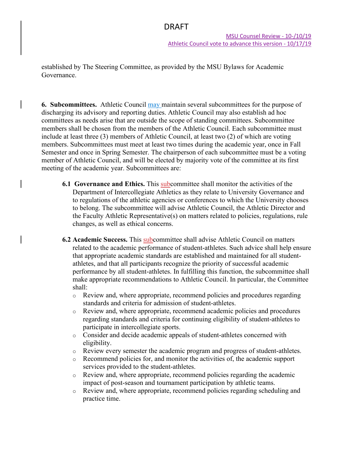established by The Steering Committee, as provided by the MSU Bylaws for Academic Governance.

**6. Subcommittees.** Athletic Council may maintain several subcommittees for the purpose of discharging its advisory and reporting duties. Athletic Council may also establish ad hoc committees as needs arise that are outside the scope of standing committees. Subcommittee members shall be chosen from the members of the Athletic Council. Each subcommittee must include at least three (3) members of Athletic Council, at least two (2) of which are voting members. Subcommittees must meet at least two times during the academic year, once in Fall Semester and once in Spring Semester. The chairperson of each subcommittee must be a voting member of Athletic Council, and will be elected by majority vote of the committee at its first meeting of the academic year. Subcommittees are:

- **6.1 Governance and Ethics.** This subcommittee shall monitor the activities of the Department of Intercollegiate Athletics as they relate to University Governance and to regulations of the athletic agencies or conferences to which the University chooses to belong. The subcommittee will advise Athletic Council, the Athletic Director and the Faculty Athletic Representative(s) on matters related to policies, regulations, rule changes, as well as ethical concerns.
- **6.2 Academic Success.** This subcommittee shall advise Athletic Council on matters related to the academic performance of student-athletes. Such advice shall help ensure that appropriate academic standards are established and maintained for all studentathletes, and that all participants recognize the priority of successful academic performance by all student-athletes. In fulfilling this function, the subcommittee shall make appropriate recommendations to Athletic Council. In particular, the Committee shall:
	- o Review and, where appropriate, recommend policies and procedures regarding standards and criteria for admission of student-athletes.
	- $\circ$  Review and, where appropriate, recommend academic policies and procedures regarding standards and criteria for continuing eligibility of student-athletes to participate in intercollegiate sports.
	- o Consider and decide academic appeals of student-athletes concerned with eligibility.
	- o Review every semester the academic program and progress of student-athletes.
	- $\circ$  Recommend policies for, and monitor the activities of, the academic support services provided to the student-athletes.
	- o Review and, where appropriate, recommend policies regarding the academic impact of post-season and tournament participation by athletic teams.
	- o Review and, where appropriate, recommend policies regarding scheduling and practice time.